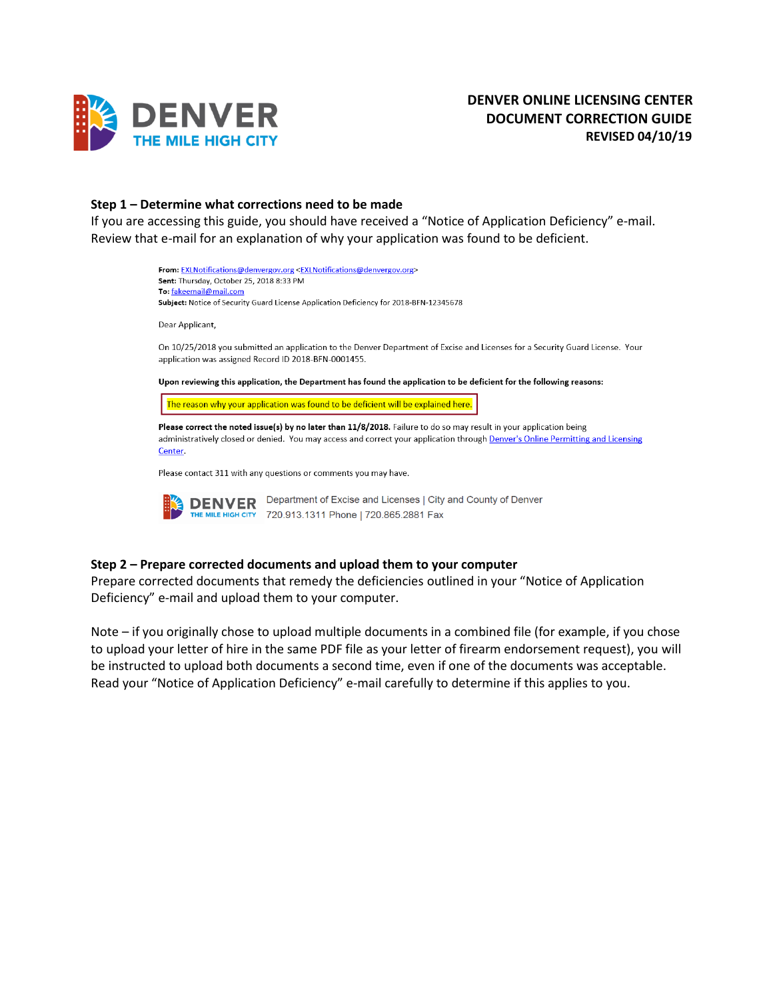

### **Step 1 – Determine what corrections need to be made**

If you are accessing this guide, you should have received a "Notice of Application Deficiency" e-mail. Review that e-mail for an explanation of why your application was found to be deficient.



Please contact 311 with any questions or comments you may have.

DENVER Department of Excise and Licenses | City and County of Denver THE MILE HIGH CITY 720.913.1311 Phone | 720.865.2881 Fax

### **Step 2 – Prepare corrected documents and upload them to your computer**

Prepare corrected documents that remedy the deficiencies outlined in your "Notice of Application Deficiency" e-mail and upload them to your computer.

Note – if you originally chose to upload multiple documents in a combined file (for example, if you chose to upload your letter of hire in the same PDF file as your letter of firearm endorsement request), you will be instructed to upload both documents a second time, even if one of the documents was acceptable. Read your "Notice of Application Deficiency" e-mail carefully to determine if this applies to you.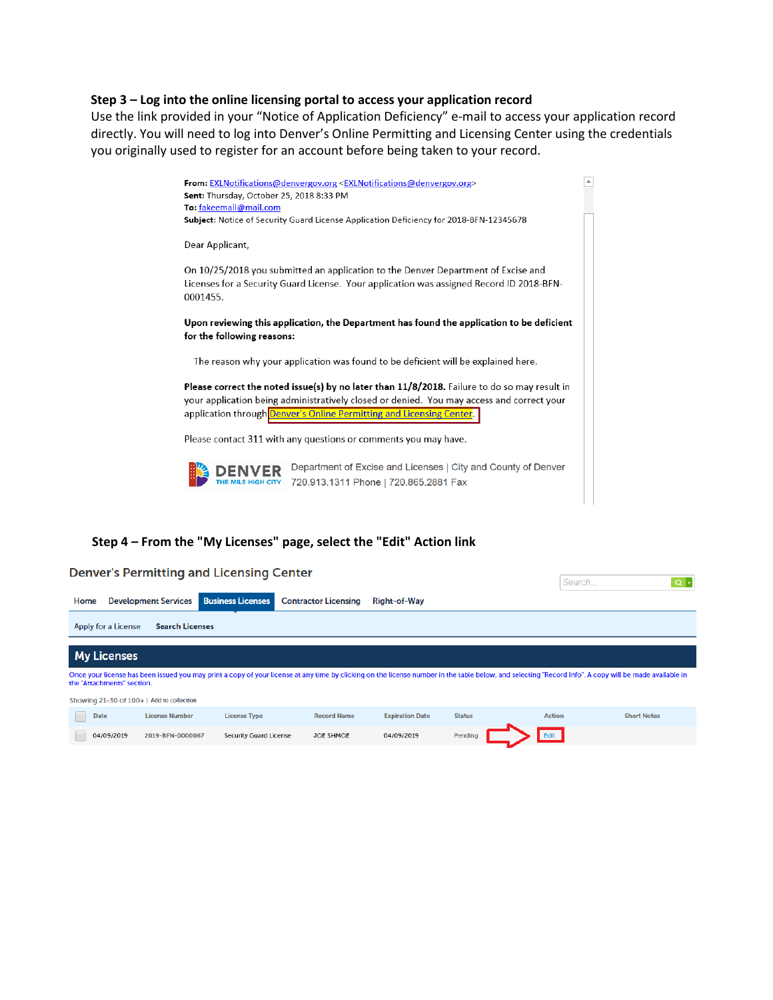### **Step 3 – Log into the online licensing portal to access your application record**

Use the link provided in your "Notice of Application Deficiency" e-mail to access your application record directly. You will need to log into Denver's Online Permitting and Licensing Center using the credentials you originally used to register for an account before being taken to your record.



### **Step 4 – From the "My Licenses" page, select the "Edit" Action link**

the company of the company of the company of the company of the company of the company of

|      |                     |                                           | Denver's Permitting and Licensing Center |                             |                        |               | Search        | $\alpha$ .                                                                                                                                                                                             |
|------|---------------------|-------------------------------------------|------------------------------------------|-----------------------------|------------------------|---------------|---------------|--------------------------------------------------------------------------------------------------------------------------------------------------------------------------------------------------------|
| Home |                     | <b>Development Services</b>               | <b>Business Licenses</b>                 | <b>Contractor Licensing</b> | <b>Right-of-Way</b>    |               |               |                                                                                                                                                                                                        |
|      | Apply for a License | <b>Search Licenses</b>                    |                                          |                             |                        |               |               |                                                                                                                                                                                                        |
|      | <b>My Licenses</b>  |                                           |                                          |                             |                        |               |               |                                                                                                                                                                                                        |
|      |                     | the "Attachments" section.                |                                          |                             |                        |               |               | Once your license has been issued you may print a copy of your license at any time by clicking on the license number in the table below, and selecting "Record Info". A copy will be made available in |
|      |                     | Showing 21-30 of 100+   Add to collection |                                          |                             |                        |               |               |                                                                                                                                                                                                        |
|      | Date                | <b>License Number</b>                     | <b>License Type</b>                      | <b>Record Name</b>          | <b>Expiration Date</b> | <b>Status</b> | <b>Action</b> | <b>Short Notes</b>                                                                                                                                                                                     |
|      | 04/09/2019          | 2019-BFN-0000067                          | <b>Security Guard License</b>            | <b>JOE SHMOE</b>            | 04/09/2019             | Pending       | Edit          |                                                                                                                                                                                                        |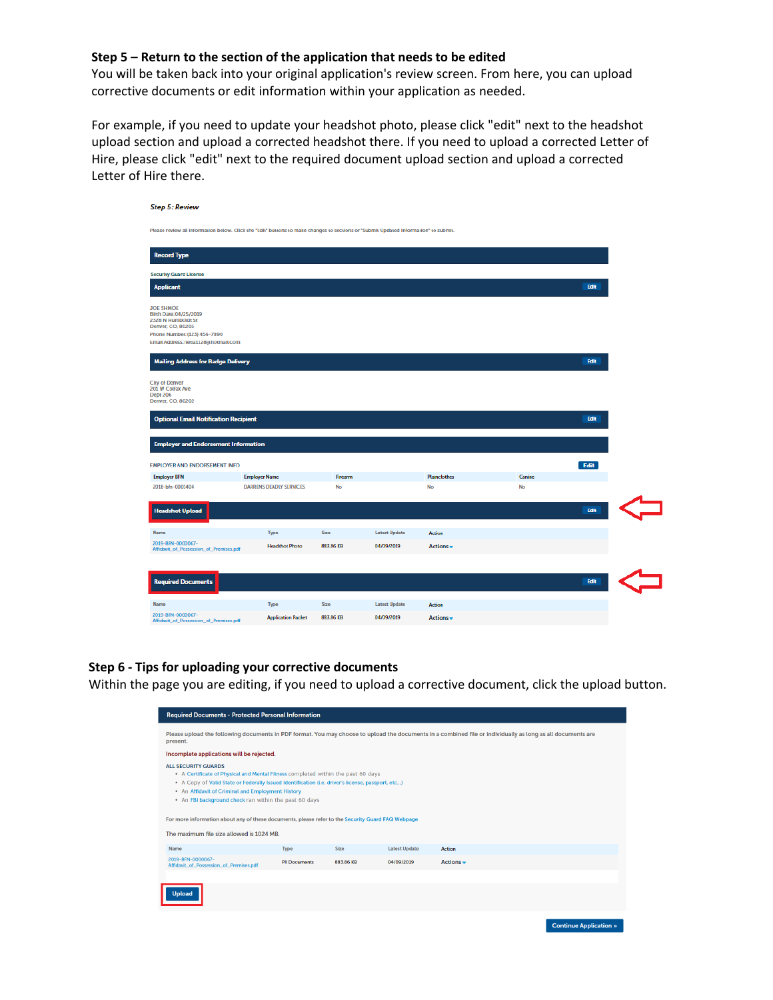# **Step 5 – Return to the section of the application that needs to be edited**

You will be taken back into your original application's review screen. From here, you can upload corrective documents or edit information within your application as needed.

For example, if you need to update your headshot photo, please click "edit" next to the headshot upload section and upload a corrected headshot there. If you need to upload a corrected Letter of Hire, please click "edit" next to the required document upload section and upload a corrected Letter of Hire there.

| <b>Step 5: Review</b>                                                                                                                                        |                                |           |                      |                     |        |      |  |
|--------------------------------------------------------------------------------------------------------------------------------------------------------------|--------------------------------|-----------|----------------------|---------------------|--------|------|--|
| Please review all information below. Click the "Edit" buttons to make changes to sections or "Submit Updated Information" to submit.                         |                                |           |                      |                     |        |      |  |
| <b>Record Type</b>                                                                                                                                           |                                |           |                      |                     |        |      |  |
| <b>Security Guard License</b>                                                                                                                                |                                |           |                      |                     |        |      |  |
| <b>Applicant</b>                                                                                                                                             |                                |           |                      |                     |        | Edit |  |
| <b>JOE SHMOE</b><br>Birth Date:04/25/2019<br>2328 N Humboldt St<br>Denver, CO, 80205<br>Phone Number: (123) 456-7890<br>Email Address: netia1128@hotmail.com |                                |           |                      |                     |        |      |  |
| <b>Mailing Address for Badge Delivery</b>                                                                                                                    |                                |           |                      |                     |        | Edit |  |
| <b>City of Denver</b><br>201 W Colfax Ave<br><b>Dept 206</b><br>Denver, CO, 80202                                                                            |                                |           |                      |                     |        |      |  |
| <b>Optional Email Notification Recipient</b>                                                                                                                 |                                |           |                      |                     |        | Edit |  |
| <b>Employer and Endorsement Information</b>                                                                                                                  |                                |           |                      |                     |        |      |  |
| <b>EMPLOYER AND ENDORSEMENT INFO</b>                                                                                                                         |                                |           |                      |                     |        | Edit |  |
| <b>Employer BFN</b>                                                                                                                                          | <b>Employer Name</b>           | Firearm   |                      | <b>Plainclothes</b> | Canine |      |  |
| 2018-bfn-0001404                                                                                                                                             | <b>DARRENS DEADLY SERVICES</b> | No        |                      | No                  | No     |      |  |
| <b>Headshot Upload</b>                                                                                                                                       |                                |           |                      |                     |        | Edit |  |
| <b>Name</b>                                                                                                                                                  | Type                           | Size      | <b>Latest Update</b> | Action              |        |      |  |
| 2019-BFN-0000067-<br>Affidavit_of_Possession_of_Premises.pdf                                                                                                 | <b>Headshot Photo</b>          | 883.86 KB | 04/09/2019           | Actions $\star$     |        |      |  |
|                                                                                                                                                              |                                |           |                      |                     |        |      |  |
| <b>Required Documents</b>                                                                                                                                    |                                |           |                      |                     |        | Edit |  |
| Name                                                                                                                                                         | Type                           | Size      | <b>Latest Update</b> | <b>Action</b>       |        |      |  |
| 2019-BFN-0000067-<br>Affidavit of Possession of Premises.pdf                                                                                                 | <b>Application Packet</b>      | 883.86 KB | 04/09/2019           | Actions -           |        |      |  |

### **Step 6 - Tips for uploading your corrective documents**

Within the page you are editing, if you need to upload a corrective document, click the upload button.

| <b>Required Documents - Protected Personal Information</b>                                                                                                                                                                                                                                                                                                                                                                                                                          |                      |             |                      |                                                                                                                                                             |  |  |  |  |
|-------------------------------------------------------------------------------------------------------------------------------------------------------------------------------------------------------------------------------------------------------------------------------------------------------------------------------------------------------------------------------------------------------------------------------------------------------------------------------------|----------------------|-------------|----------------------|-------------------------------------------------------------------------------------------------------------------------------------------------------------|--|--|--|--|
| present.                                                                                                                                                                                                                                                                                                                                                                                                                                                                            |                      |             |                      | Please upload the following documents in PDF format. You may choose to upload the documents in a combined file or individually as long as all documents are |  |  |  |  |
| Incomplete applications will be rejected.                                                                                                                                                                                                                                                                                                                                                                                                                                           |                      |             |                      |                                                                                                                                                             |  |  |  |  |
| <b>ALL SECURITY GUARDS</b><br>• A Certificate of Physical and Mental Fitness completed within the past 60 days<br>• A Copy of Valid State or Federally Issued Identification (i.e. driver's license, passport, etc)<br>• An Affidavit of Criminal and Employment History<br>• An FBI background check ran within the past 60 days<br>For more information about any of these documents, please refer to the Security Guard FAQ Webpage<br>The maximum file size allowed is 1024 MB. |                      |             |                      |                                                                                                                                                             |  |  |  |  |
| Name                                                                                                                                                                                                                                                                                                                                                                                                                                                                                | Type                 | <b>Size</b> | <b>Latest Update</b> | <b>Action</b>                                                                                                                                               |  |  |  |  |
| 2019-BEN-0000067-<br>Affidavit_of_Possession_of_Premises.pdf                                                                                                                                                                                                                                                                                                                                                                                                                        | <b>PII Documents</b> | 883.86 KB   | 04/09/2019           | Actions $\div$                                                                                                                                              |  |  |  |  |
| <b>Upload</b>                                                                                                                                                                                                                                                                                                                                                                                                                                                                       |                      |             |                      |                                                                                                                                                             |  |  |  |  |

**Continue Application »**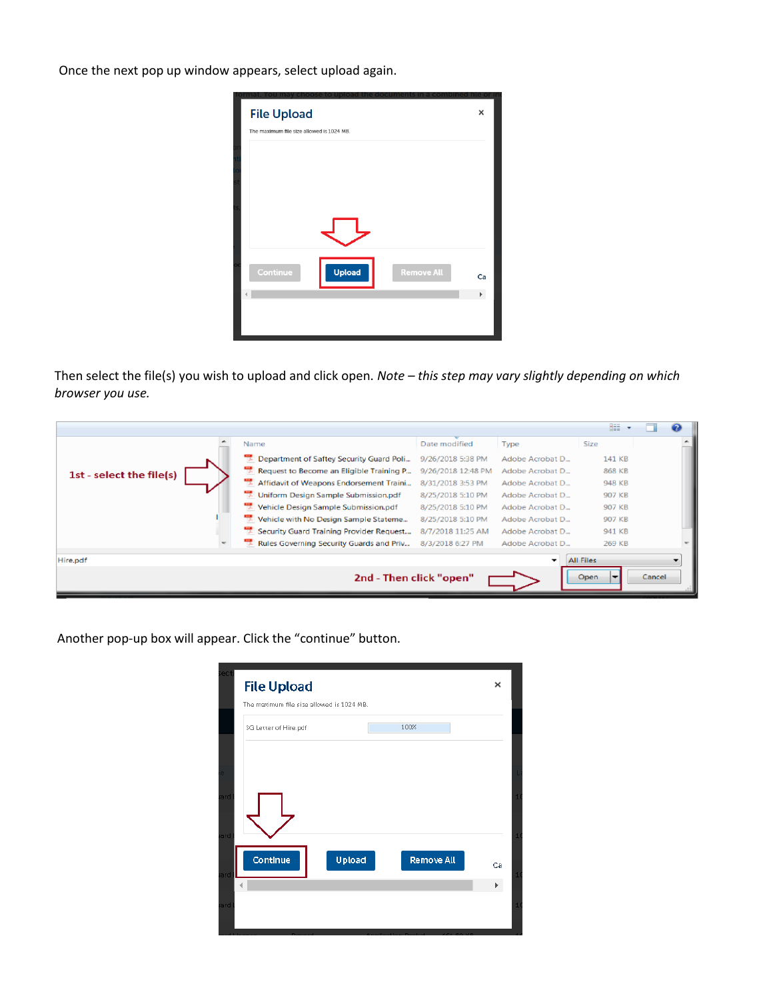Once the next pop up window appears, select upload again.

| <b>File Upload</b> |                                           |                   | ×  |
|--------------------|-------------------------------------------|-------------------|----|
|                    | The maximum file size allowed is 1024 MB. |                   |    |
|                    |                                           |                   |    |
|                    |                                           |                   |    |
|                    |                                           |                   |    |
|                    |                                           |                   |    |
|                    |                                           |                   |    |
|                    |                                           |                   |    |
|                    |                                           |                   |    |
|                    |                                           |                   |    |
| Continue           | <b>Upload</b>                             | <b>Remove All</b> | Ca |
|                    |                                           |                   | k  |
|                    |                                           |                   |    |
|                    |                                           |                   |    |
|                    |                                           |                   |    |

Then select the file(s) you wish to upload and click open. *Note – this step may vary slightly depending on which browser you use.* 

|                          |                                                |                    |                 | 888              |        |  |
|--------------------------|------------------------------------------------|--------------------|-----------------|------------------|--------|--|
|                          | Name                                           | Date modified      | Type            | <b>Size</b>      |        |  |
|                          | Department of Saftey Security Guard Poli       | 9/26/2018 5:38 PM  | Adobe Acrobat D | 141 KB           |        |  |
| 1st - select the file(s) | 42<br>Request to Become an Eligible Training P | 9/26/2018 12:48 PM | Adobe Acrobat D | 868 KB           |        |  |
|                          | Affidavit of Weapons Endorsement Traini        | 8/31/2018 3:53 PM  | Adobe Acrobat D | 948 KB           |        |  |
|                          | Uniform Design Sample Submission.pdf           | 8/25/2018 5:10 PM  | Adobe Acrobat D | 907 KB           |        |  |
|                          | Vehicle Design Sample Submission.pdf           | 8/25/2018 5:10 PM  | Adobe Acrobat D | 907 KB           |        |  |
|                          | Vehicle with No Design Sample Stateme          | 8/25/2018 5:10 PM  | Adobe Acrobat D | 907 KB           |        |  |
|                          | Security Guard Training Provider Request       | 8/7/2018 11:25 AM  | Adobe Acrobat D | 941 KB           |        |  |
|                          | 贾<br>Rules Governing Security Guards and Priv  | 8/3/2018 6:27 PM   | Adobe Acrobat D | 269 KB           |        |  |
| Hire.pdf                 |                                                |                    | ۰.              | <b>All Files</b> |        |  |
|                          | 2nd - Then click "open"                        |                    |                 | Open             | Cancel |  |

Another pop-up box will appear. Click the "continue" button.

| ect        | <b>File Upload</b>                                                         | ×  |              |
|------------|----------------------------------------------------------------------------|----|--------------|
|            | The maximum file size allowed is 1024 MB.<br>100%<br>SG Letter of Hire.pdf |    |              |
| e.         |                                                                            |    |              |
| ard        |                                                                            |    | 1(           |
| ard        |                                                                            |    | $\mathbf{1}$ |
|            | Continue<br>Upload<br>Remove All                                           | Ca | $\perp$      |
| ard<br>ard |                                                                            | Þ. | 10           |
|            |                                                                            |    |              |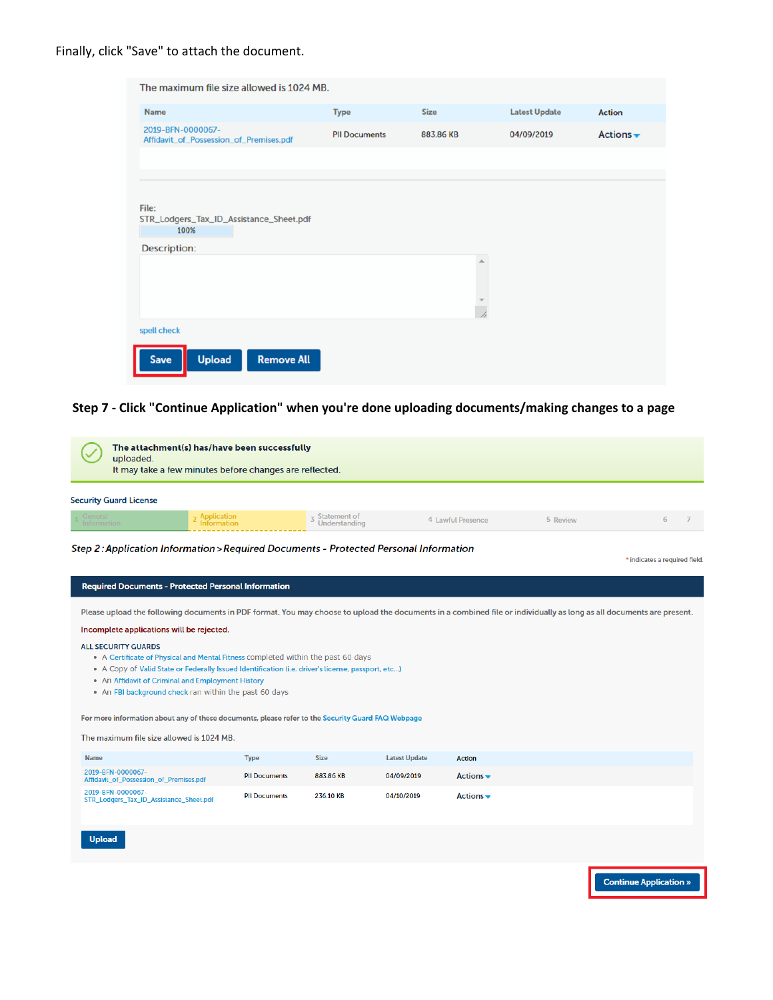Finally, click "Save" to attach the document.

| The maximum file size allowed is 1024 MB.                                       |                      |                           |                      |                              |
|---------------------------------------------------------------------------------|----------------------|---------------------------|----------------------|------------------------------|
| <b>Name</b>                                                                     | <b>Type</b>          | <b>Size</b>               | <b>Latest Update</b> | <b>Action</b>                |
| 2019-BFN-0000067-<br>Affidavit_of_Possession_of_Premises.pdf                    | <b>PII Documents</b> | 883.86 KB                 | 04/09/2019           | Actions $\blacktriangledown$ |
|                                                                                 |                      |                           |                      |                              |
| File:<br>STR_Lodgers_Tax_ID_Assistance_Sheet.pdf<br>100%<br><b>Description:</b> |                      |                           |                      |                              |
|                                                                                 |                      | A<br>$\overline{\lambda}$ |                      |                              |
| spell check                                                                     |                      |                           |                      |                              |
| <b>Remove All</b><br><b>Upload</b><br>Save                                      |                      |                           |                      |                              |

# Step 7 - Click "Continue Application" when you're done uploading documents/making changes to a page

| uploaded.                     | The attachment(s) has/have been successfully<br>It may take a few minutes before changes are reflected. |                               |                   |          |  |
|-------------------------------|---------------------------------------------------------------------------------------------------------|-------------------------------|-------------------|----------|--|
| <b>Security Guard License</b> |                                                                                                         |                               |                   |          |  |
| General<br>Information        | <sub>2</sub> Application<br><b>Information</b>                                                          | Statement of<br>Understanding | 4 Lawful Presence | 5 Review |  |

Step 2: Application Information > Required Documents - Protected Personal Information

| indicates a required field. |  |
|-----------------------------|--|
|                             |  |

#### Required Documents - Protected Personal Information

Please upload the following documents in PDF format. You may choose to upload the documents in a combined file or individually as long as all documents are present.

#### Incomplete applications will be rejected.

#### **ALL SECURITY GUARDS**

- A Certificate of Physical and Mental Fitness completed within the past 60 days
- A Copy of Valid State or Federally Issued Identification (i.e. driver's license, passport, etc...)
- . An Affidavit of Criminal and Employment History
- . An FBI background check ran within the past 60 days

For more information about any of these documents, please refer to the Security Guard FAQ Webpage

The maximum file size allowed is 1024 MB.

| <b>Name</b>                                                  | <b>Type</b>          | <b>Size</b> | <b>Latest Update</b> | <b>Action</b>                 |
|--------------------------------------------------------------|----------------------|-------------|----------------------|-------------------------------|
| 2019-BFN-0000067-<br>Affidavit_of_Possession_of_Premises.pdf | <b>PII Documents</b> | 883.86 KB   | 04/09/2019           | Actions $\bullet$             |
| 2019-BFN-0000067-<br>STR_Lodgers_Tax_ID_Assistance_Sheet.pdf | <b>PII Documents</b> | 236.10 KB   | 04/10/2019           | Actions $\blacktriangleright$ |

Upload